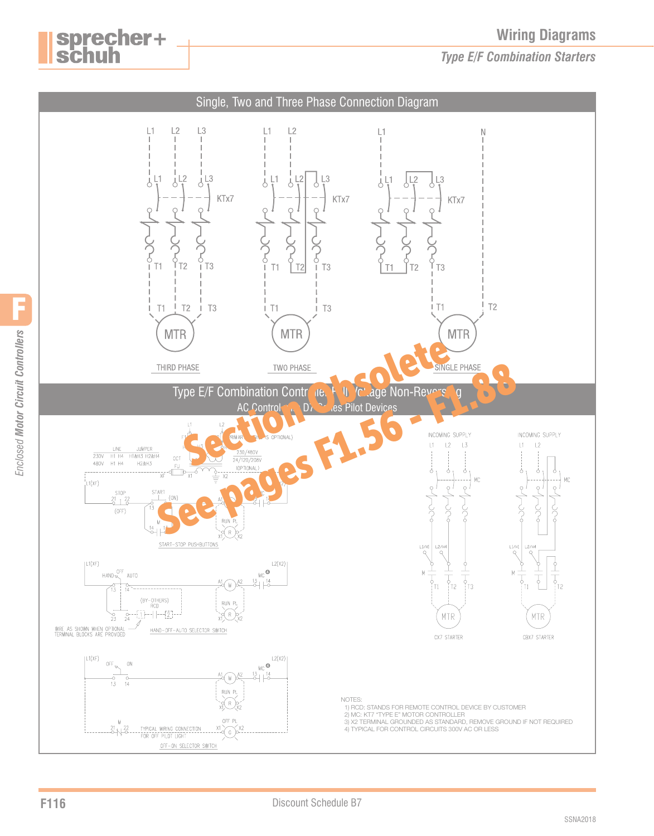**Wiring Diagrams**

*Type E/F Combination Starters*



sprecher+<br>schuh